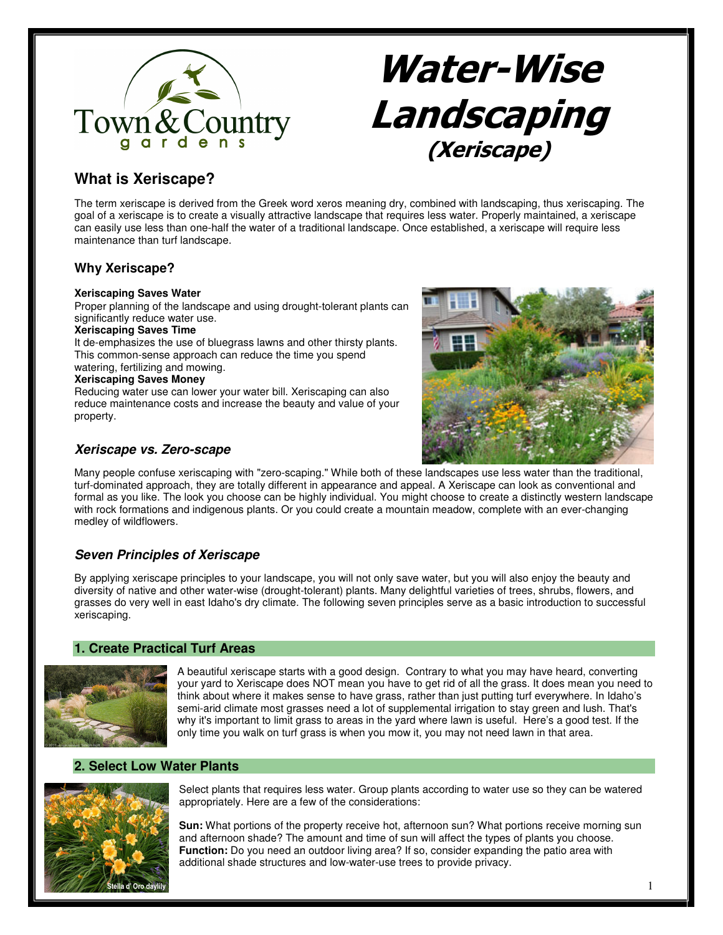

# Water-Wise Landscaping (Xeriscape)

# **What is Xeriscape?**

The term xeriscape is derived from the Greek word xeros meaning dry, combined with landscaping, thus xeriscaping. The goal of a xeriscape is to create a visually attractive landscape that requires less water. Properly maintained, a xeriscape can easily use less than one-half the water of a traditional landscape. Once established, a xeriscape will require less maintenance than turf landscape.

# **Why Xeriscape?**

#### **Xeriscaping Saves Water**

Proper planning of the landscape and using drought-tolerant plants can significantly reduce water use.

#### **Xeriscaping Saves Time**

It de-emphasizes the use of bluegrass lawns and other thirsty plants. This common-sense approach can reduce the time you spend watering, fertilizing and mowing.

### **Xeriscaping Saves Money**

Reducing water use can lower your water bill. Xeriscaping can also reduce maintenance costs and increase the beauty and value of your property.



# **Xeriscape vs. Zero-scape**

Many people confuse xeriscaping with "zero-scaping." While both of these landscapes use less water than the traditional, turf-dominated approach, they are totally different in appearance and appeal. A Xeriscape can look as conventional and formal as you like. The look you choose can be highly individual. You might choose to create a distinctly western landscape with rock formations and indigenous plants. Or you could create a mountain meadow, complete with an ever-changing medley of wildflowers.

# **Seven Principles of Xeriscape**

By applying xeriscape principles to your landscape, you will not only save water, but you will also enjoy the beauty and diversity of native and other water-wise (drought-tolerant) plants. Many delightful varieties of trees, shrubs, flowers, and grasses do very well in east Idaho's dry climate. The following seven principles serve as a basic introduction to successful xeriscaping.

## **1. Create Practical Turf Areas**



A beautiful xeriscape starts with a good design. Contrary to what you may have heard, converting your yard to Xeriscape does NOT mean you have to get rid of all the grass. It does mean you need to think about where it makes sense to have grass, rather than just putting turf everywhere. In Idaho's semi-arid climate most grasses need a lot of supplemental irrigation to stay green and lush. That's why it's important to limit grass to areas in the yard where lawn is useful. Here's a good test. If the only time you walk on turf grass is when you mow it, you may not need lawn in that area.

# **2. Select Low Water Plants**



Select plants that requires less water. Group plants according to water use so they can be watered appropriately. Here are a few of the considerations:

**Sun:** What portions of the property receive hot, afternoon sun? What portions receive morning sun and afternoon shade? The amount and time of sun will affect the types of plants you choose. **Function:** Do you need an outdoor living area? If so, consider expanding the patio area with additional shade structures and low-water-use trees to provide privacy.